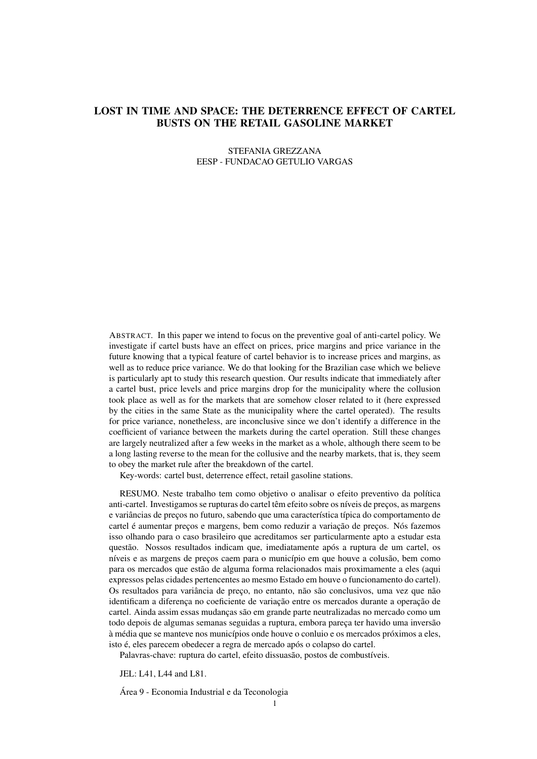# <span id="page-0-0"></span>LOST IN TIME AND SPACE: THE DETERRENCE EFFECT OF CARTEL BUSTS ON THE RETAIL GASOLINE MARKET

#### STEFANIA GREZZANA EESP - FUNDACAO GETULIO VARGAS

ABSTRACT. In this paper we intend to focus on the preventive goal of anti-cartel policy. We investigate if cartel busts have an effect on prices, price margins and price variance in the future knowing that a typical feature of cartel behavior is to increase prices and margins, as well as to reduce price variance. We do that looking for the Brazilian case which we believe is particularly apt to study this research question. Our results indicate that immediately after a cartel bust, price levels and price margins drop for the municipality where the collusion took place as well as for the markets that are somehow closer related to it (here expressed by the cities in the same State as the municipality where the cartel operated). The results for price variance, nonetheless, are inconclusive since we don't identify a difference in the coefficient of variance between the markets during the cartel operation. Still these changes are largely neutralized after a few weeks in the market as a whole, although there seem to be a long lasting reverse to the mean for the collusive and the nearby markets, that is, they seem to obey the market rule after the breakdown of the cartel.

Key-words: cartel bust, deterrence effect, retail gasoline stations.

RESUMO. Neste trabalho tem como objetivo o analisar o efeito preventivo da política anti-cartel. Investigamos se rupturas do cartel têm efeito sobre os níveis de preços, as margens e variâncias de preços no futuro, sabendo que uma característica típica do comportamento de cartel é aumentar preços e margens, bem como reduzir a variação de preços. Nós fazemos isso olhando para o caso brasileiro que acreditamos ser particularmente apto a estudar esta questão. Nossos resultados indicam que, imediatamente após a ruptura de um cartel, os níveis e as margens de preços caem para o município em que houve a colusão, bem como para os mercados que estão de alguma forma relacionados mais proximamente a eles (aqui expressos pelas cidades pertencentes ao mesmo Estado em houve o funcionamento do cartel). Os resultados para variância de preço, no entanto, não são conclusivos, uma vez que não identificam a diferença no coeficiente de variação entre os mercados durante a operação de cartel. Ainda assim essas mudanças são em grande parte neutralizadas no mercado como um todo depois de algumas semanas seguidas a ruptura, embora pareça ter havido uma inversão à média que se manteve nos municípios onde houve o conluio e os mercados próximos a eles, isto é, eles parecem obedecer a regra de mercado após o colapso do cartel.

Palavras-chave: ruptura do cartel, efeito dissuasão, postos de combustíveis.

JEL: L41, L44 and L81.

Área 9 - Economia Industrial e da Teconologia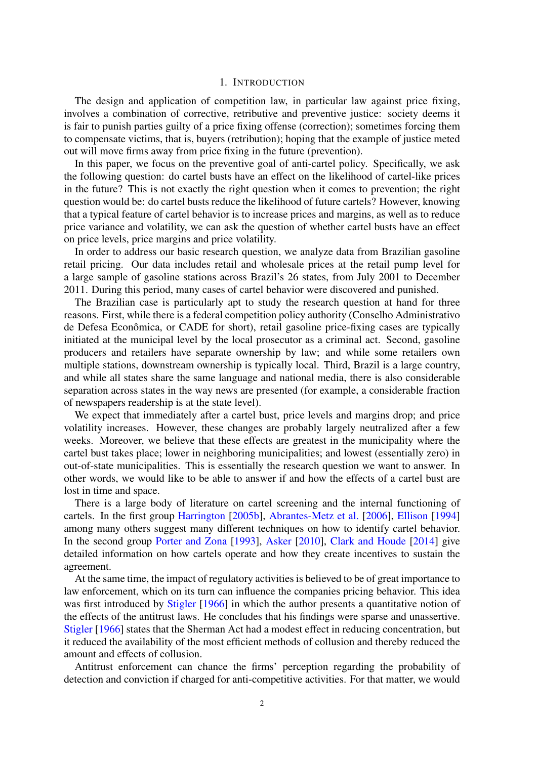## 1. INTRODUCTION

The design and application of competition law, in particular law against price fixing, involves a combination of corrective, retributive and preventive justice: society deems it is fair to punish parties guilty of a price fixing offense (correction); sometimes forcing them to compensate victims, that is, buyers (retribution); hoping that the example of justice meted out will move firms away from price fixing in the future (prevention).

In this paper, we focus on the preventive goal of anti-cartel policy. Specifically, we ask the following question: do cartel busts have an effect on the likelihood of cartel-like prices in the future? This is not exactly the right question when it comes to prevention; the right question would be: do cartel busts reduce the likelihood of future cartels? However, knowing that a typical feature of cartel behavior is to increase prices and margins, as well as to reduce price variance and volatility, we can ask the question of whether cartel busts have an effect on price levels, price margins and price volatility.

In order to address our basic research question, we analyze data from Brazilian gasoline retail pricing. Our data includes retail and wholesale prices at the retail pump level for a large sample of gasoline stations across Brazil's 26 states, from July 2001 to December 2011. During this period, many cases of cartel behavior were discovered and punished.

The Brazilian case is particularly apt to study the research question at hand for three reasons. First, while there is a federal competition policy authority (Conselho Administrativo de Defesa Econômica, or CADE for short), retail gasoline price-fixing cases are typically initiated at the municipal level by the local prosecutor as a criminal act. Second, gasoline producers and retailers have separate ownership by law; and while some retailers own multiple stations, downstream ownership is typically local. Third, Brazil is a large country, and while all states share the same language and national media, there is also considerable separation across states in the way news are presented (for example, a considerable fraction of newspapers readership is at the state level).

We expect that immediately after a cartel bust, price levels and margins drop; and price volatility increases. However, these changes are probably largely neutralized after a few weeks. Moreover, we believe that these effects are greatest in the municipality where the cartel bust takes place; lower in neighboring municipalities; and lowest (essentially zero) in out-of-state municipalities. This is essentially the research question we want to answer. In other words, we would like to be able to answer if and how the effects of a cartel bust are lost in time and space.

There is a large body of literature on cartel screening and the internal functioning of cartels. In the first group [Harrington](#page-14-0) [\[2005b\]](#page-14-0), [Abrantes-Metz et al.](#page-12-0) [\[2006\]](#page-12-0), [Ellison](#page-13-0) [\[1994\]](#page-13-0) among many others suggest many different techniques on how to identify cartel behavior. In the second group [Porter and Zona](#page-14-1) [\[1993\]](#page-14-1), [Asker](#page-12-1) [\[2010\]](#page-12-1), [Clark and Houde](#page-13-1) [\[2014\]](#page-13-1) give detailed information on how cartels operate and how they create incentives to sustain the agreement.

At the same time, the impact of regulatory activities is believed to be of great importance to law enforcement, which on its turn can influence the companies pricing behavior. This idea was first introduced by [Stigler](#page-14-2) [\[1966\]](#page-14-2) in which the author presents a quantitative notion of the effects of the antitrust laws. He concludes that his findings were sparse and unassertive. [Stigler](#page-14-2) [\[1966\]](#page-14-2) states that the Sherman Act had a modest effect in reducing concentration, but it reduced the availability of the most efficient methods of collusion and thereby reduced the amount and effects of collusion.

Antitrust enforcement can chance the firms' perception regarding the probability of detection and conviction if charged for anti-competitive activities. For that matter, we would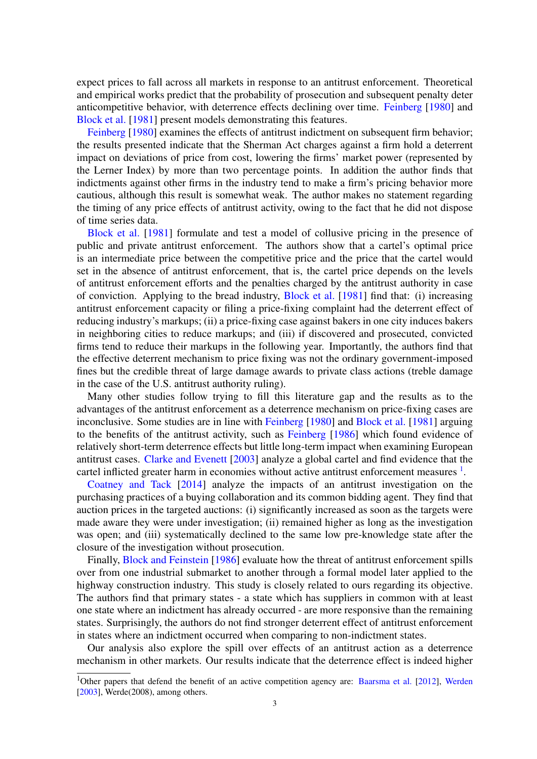expect prices to fall across all markets in response to an antitrust enforcement. Theoretical and empirical works predict that the probability of prosecution and subsequent penalty deter anticompetitive behavior, with deterrence effects declining over time. [Feinberg](#page-13-2) [\[1980\]](#page-13-2) and [Block et al.](#page-13-3) [\[1981\]](#page-13-3) present models demonstrating this features.

[Feinberg](#page-13-2) [\[1980\]](#page-13-2) examines the effects of antitrust indictment on subsequent firm behavior; the results presented indicate that the Sherman Act charges against a firm hold a deterrent impact on deviations of price from cost, lowering the firms' market power (represented by the Lerner Index) by more than two percentage points. In addition the author finds that indictments against other firms in the industry tend to make a firm's pricing behavior more cautious, although this result is somewhat weak. The author makes no statement regarding the timing of any price effects of antitrust activity, owing to the fact that he did not dispose of time series data.

[Block et al.](#page-13-3) [\[1981\]](#page-13-3) formulate and test a model of collusive pricing in the presence of public and private antitrust enforcement. The authors show that a cartel's optimal price is an intermediate price between the competitive price and the price that the cartel would set in the absence of antitrust enforcement, that is, the cartel price depends on the levels of antitrust enforcement efforts and the penalties charged by the antitrust authority in case of conviction. Applying to the bread industry, [Block et al.](#page-13-3) [\[1981\]](#page-13-3) find that: (i) increasing antitrust enforcement capacity or filing a price-fixing complaint had the deterrent effect of reducing industry's markups; (ii) a price-fixing case against bakers in one city induces bakers in neighboring cities to reduce markups; and (iii) if discovered and prosecuted, convicted firms tend to reduce their markups in the following year. Importantly, the authors find that the effective deterrent mechanism to price fixing was not the ordinary government-imposed fines but the credible threat of large damage awards to private class actions (treble damage in the case of the U.S. antitrust authority ruling).

Many other studies follow trying to fill this literature gap and the results as to the advantages of the antitrust enforcement as a deterrence mechanism on price-fixing cases are inconclusive. Some studies are in line with [Feinberg](#page-13-2) [\[1980\]](#page-13-2) and [Block et al.](#page-13-3) [\[1981\]](#page-13-3) arguing to the benefits of the antitrust activity, such as [Feinberg](#page-13-4) [\[1986\]](#page-13-4) which found evidence of relatively short-term deterrence effects but little long-term impact when examining European antitrust cases. [Clarke and Evenett](#page-13-5) [\[2003\]](#page-13-5) analyze a global cartel and find evidence that the cartel inflicted greater harm in economies without active antitrust enforcement measures  $<sup>1</sup>$  $<sup>1</sup>$  $<sup>1</sup>$ .</sup>

[Coatney and Tack](#page-13-6) [\[2014\]](#page-13-6) analyze the impacts of an antitrust investigation on the purchasing practices of a buying collaboration and its common bidding agent. They find that auction prices in the targeted auctions: (i) significantly increased as soon as the targets were made aware they were under investigation; (ii) remained higher as long as the investigation was open; and (iii) systematically declined to the same low pre-knowledge state after the closure of the investigation without prosecution.

Finally, [Block and Feinstein](#page-12-2) [\[1986\]](#page-12-2) evaluate how the threat of antitrust enforcement spills over from one industrial submarket to another through a formal model later applied to the highway construction industry. This study is closely related to ours regarding its objective. The authors find that primary states - a state which has suppliers in common with at least one state where an indictment has already occurred - are more responsive than the remaining states. Surprisingly, the authors do not find stronger deterrent effect of antitrust enforcement in states where an indictment occurred when comparing to non-indictment states.

Our analysis also explore the spill over effects of an antitrust action as a deterrence mechanism in other markets. Our results indicate that the deterrence effect is indeed higher

<sup>&</sup>lt;sup>1</sup>Other papers that defend the benefit of an active competition agency are: [Baarsma et al.](#page-12-3) [\[2012\]](#page-12-3), [Werden](#page-14-3) [\[2003\]](#page-14-3), Werde(2008), among others.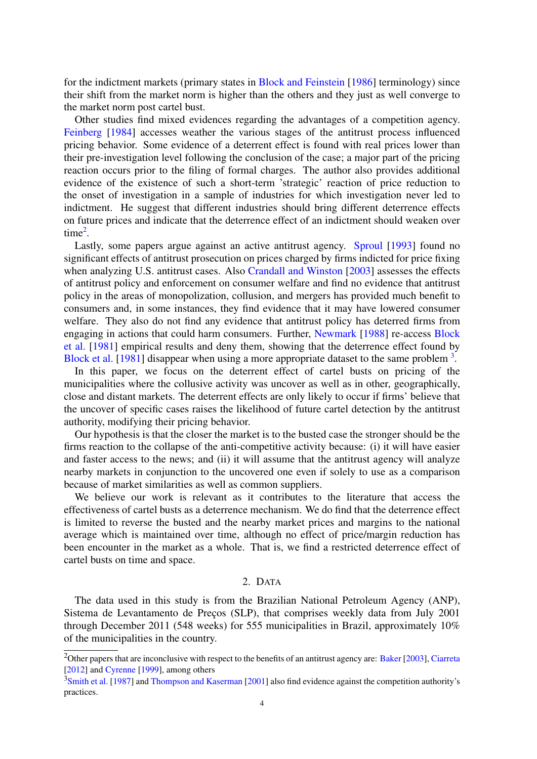for the indictment markets (primary states in [Block and Feinstein](#page-12-2) [\[1986\]](#page-12-2) terminology) since their shift from the market norm is higher than the others and they just as well converge to the market norm post cartel bust.

Other studies find mixed evidences regarding the advantages of a competition agency. [Feinberg](#page-13-7) [\[1984\]](#page-13-7) accesses weather the various stages of the antitrust process influenced pricing behavior. Some evidence of a deterrent effect is found with real prices lower than their pre-investigation level following the conclusion of the case; a major part of the pricing reaction occurs prior to the filing of formal charges. The author also provides additional evidence of the existence of such a short-term 'strategic' reaction of price reduction to the onset of investigation in a sample of industries for which investigation never led to indictment. He suggest that different industries should bring different deterrence effects on future prices and indicate that the deterrence effect of an indictment should weaken over  $time<sup>2</sup>$  $time<sup>2</sup>$  $time<sup>2</sup>$ .

Lastly, some papers argue against an active antitrust agency. [Sproul](#page-14-4) [\[1993\]](#page-14-4) found no significant effects of antitrust prosecution on prices charged by firms indicted for price fixing when analyzing U.S. antitrust cases. Also [Crandall and Winston](#page-13-8) [\[2003\]](#page-13-8) assesses the effects of antitrust policy and enforcement on consumer welfare and find no evidence that antitrust policy in the areas of monopolization, collusion, and mergers has provided much benefit to consumers and, in some instances, they find evidence that it may have lowered consumer welfare. They also do not find any evidence that antitrust policy has deterred firms from engaging in actions that could harm consumers. Further, [Newmark](#page-14-5) [\[1988\]](#page-14-5) re-access [Block](#page-13-3) [et al.](#page-13-3) [\[1981\]](#page-13-3) empirical results and deny them, showing that the deterrence effect found by [Block et al.](#page-13-3) [\[1981\]](#page-13-3) disappear when using a more appropriate dataset to the same problem  $3$ .

In this paper, we focus on the deterrent effect of cartel busts on pricing of the municipalities where the collusive activity was uncover as well as in other, geographically, close and distant markets. The deterrent effects are only likely to occur if firms' believe that the uncover of specific cases raises the likelihood of future cartel detection by the antitrust authority, modifying their pricing behavior.

Our hypothesis is that the closer the market is to the busted case the stronger should be the firms reaction to the collapse of the anti-competitive activity because: (i) it will have easier and faster access to the news; and (ii) it will assume that the antitrust agency will analyze nearby markets in conjunction to the uncovered one even if solely to use as a comparison because of market similarities as well as common suppliers.

We believe our work is relevant as it contributes to the literature that access the effectiveness of cartel busts as a deterrence mechanism. We do find that the deterrence effect is limited to reverse the busted and the nearby market prices and margins to the national average which is maintained over time, although no effect of price/margin reduction has been encounter in the market as a whole. That is, we find a restricted deterrence effect of cartel busts on time and space.

### 2. DATA

The data used in this study is from the Brazilian National Petroleum Agency (ANP), Sistema de Levantamento de Preços (SLP), that comprises weekly data from July 2001 through December 2011 (548 weeks) for 555 municipalities in Brazil, approximately 10% of the municipalities in the country.

<sup>&</sup>lt;sup>2</sup>Other papers that are inconclusive with respect to the benefits of an antitrust agency are: [Baker](#page-12-4) [\[2003\]](#page-12-4), [Ciarreta](#page-13-9) [\[2012\]](#page-13-9) and [Cyrenne](#page-13-10) [\[1999\]](#page-13-10), among others

<sup>&</sup>lt;sup>3</sup>[Smith et al.](#page-14-6) [\[1987\]](#page-14-6) and [Thompson and Kaserman](#page-14-7) [\[2001\]](#page-14-7) also find evidence against the competition authority's practices.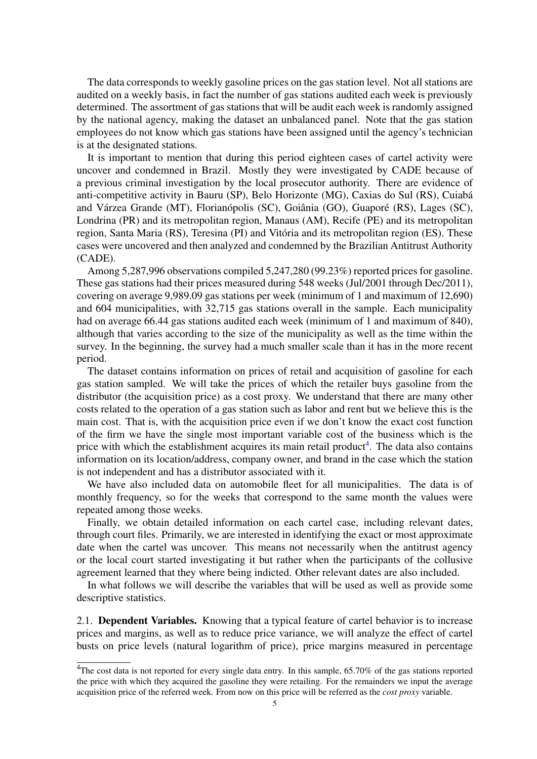The data corresponds to weekly gasoline prices on the gas station level. Not all stations are audited on a weekly basis, in fact the number of gas stations audited each week is previously determined. The assortment of gas stations that will be audit each week is randomly assigned by the national agency, making the dataset an unbalanced panel. Note that the gas station employees do not know which gas stations have been assigned until the agency's technician is at the designated stations.

It is important to mention that during this period eighteen cases of cartel activity were uncover and condemned in Brazil. Mostly they were investigated by CADE because of a previous criminal investigation by the local prosecutor authority. There are evidence of anti-competitive activity in Bauru (SP), Belo Horizonte (MG), Caxias do Sul (RS), Cuiabá and Várzea Grande (MT), Florianópolis (SC), Goiânia (GO), Guaporé (RS), Lages (SC), Londrina (PR) and its metropolitan region, Manaus (AM), Recife (PE) and its metropolitan region, Santa Maria (RS), Teresina (PI) and Vitória and its metropolitan region (ES). These cases were uncovered and then analyzed and condemned by the Brazilian Antitrust Authority (CADE).

Among 5,287,996 observations compiled 5,247,280 (99.23%) reported prices for gasoline. These gas stations had their prices measured during 548 weeks (Jul/2001 through Dec/2011), covering on average 9,989.09 gas stations per week (minimum of 1 and maximum of 12,690) and 604 municipalities, with 32,715 gas stations overall in the sample. Each municipality had on average 66.44 gas stations audited each week (minimum of 1 and maximum of 840), although that varies according to the size of the municipality as well as the time within the survey. In the beginning, the survey had a much smaller scale than it has in the more recent period.

The dataset contains information on prices of retail and acquisition of gasoline for each gas station sampled. We will take the prices of which the retailer buys gasoline from the distributor (the acquisition price) as a cost proxy. We understand that there are many other costs related to the operation of a gas station such as labor and rent but we believe this is the main cost. That is, with the acquisition price even if we don't know the exact cost function of the firm we have the single most important variable cost of the business which is the price with which the establishment acquires its main retail product<sup>[4](#page-0-0)</sup>. The data also contains information on its location/address, company owner, and brand in the case which the station is not independent and has a distributor associated with it.

We have also included data on automobile fleet for all municipalities. The data is of monthly frequency, so for the weeks that correspond to the same month the values were repeated among those weeks.

Finally, we obtain detailed information on each cartel case, including relevant dates, through court files. Primarily, we are interested in identifying the exact or most approximate date when the cartel was uncover. This means not necessarily when the antitrust agency or the local court started investigating it but rather when the participants of the collusive agreement learned that they where being indicted. Other relevant dates are also included.

In what follows we will describe the variables that will be used as well as provide some descriptive statistics.

2.1. Dependent Variables. Knowing that a typical feature of cartel behavior is to increase prices and margins, as well as to reduce price variance, we will analyze the effect of cartel busts on price levels (natural logarithm of price), price margins measured in percentage

<sup>&</sup>lt;sup>4</sup>The cost data is not reported for every single data entry. In this sample, 65.70% of the gas stations reported the price with which they acquired the gasoline they were retailing. For the remainders we input the average acquisition price of the referred week. From now on this price will be referred as the *cost proxy* variable.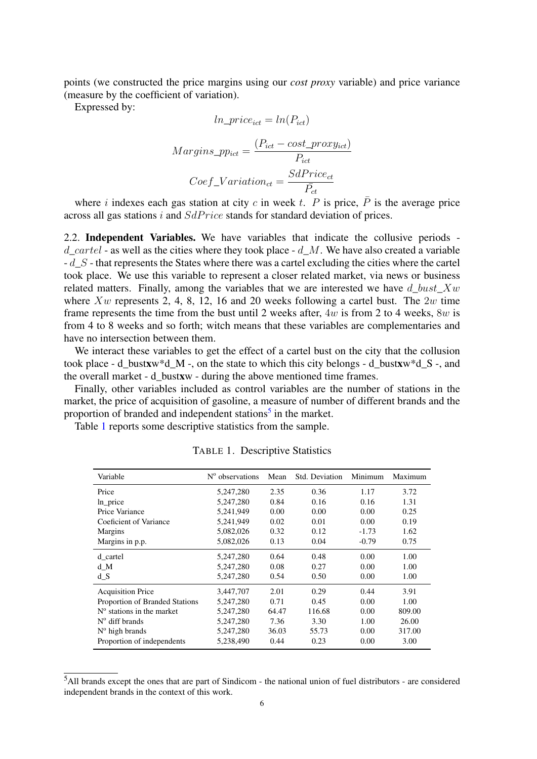points (we constructed the price margins using our *cost proxy* variable) and price variance (measure by the coefficient of variation).

Expressed by:

$$
ln\_price_{ict} = ln(P_{ict})
$$
  
Margins<sub>-ppict</sub> = 
$$
\frac{(P_{ict} - cost\_proxy_{ict})}{P_{ict}}
$$
  
Coef<sub>-</sub>Variation<sub>ct</sub> = 
$$
\frac{SdPrice_{ct}}{P_{ct}}
$$

where *i* indexes each gas station at city *c* in week *t*. *P* is price,  $\overline{P}$  is the average price across all gas stations i and  $SdPrice$  stands for standard deviation of prices.

2.2. Independent Variables. We have variables that indicate the collusive periods d cartel - as well as the cities where they took place - d M. We have also created a variable  $-d$  S - that represents the States where there was a cartel excluding the cities where the cartel took place. We use this variable to represent a closer related market, via news or business related matters. Finally, among the variables that we are interested we have d bust  $Xw$ where  $Xw$  represents 2, 4, 8, 12, 16 and 20 weeks following a cartel bust. The 2w time frame represents the time from the bust until 2 weeks after, 4w is from 2 to 4 weeks, 8w is from 4 to 8 weeks and so forth; witch means that these variables are complementaries and have no intersection between them.

We interact these variables to get the effect of a cartel bust on the city that the collusion took place - d\_bustxw\*d\_M -, on the state to which this city belongs - d\_bustxw\*d\_S -, and the overall market - d\_bustxw - during the above mentioned time frames.

Finally, other variables included as control variables are the number of stations in the market, the price of acquisition of gasoline, a measure of number of different brands and the proportion of branded and independent stations<sup>[5](#page-0-0)</sup> in the market.

<span id="page-5-0"></span>Table [1](#page-5-0) reports some descriptive statistics from the sample.

| Variable                       | $N^{\circ}$ observations | Mean  | Std. Deviation | Minimum | Maximum |
|--------------------------------|--------------------------|-------|----------------|---------|---------|
| Price                          | 5,247,280                | 2.35  | 0.36           | 1.17    | 3.72    |
| $ln$ price                     | 5,247,280                | 0.84  | 0.16           | 0.16    | 1.31    |
| Price Variance                 | 5,241,949                | 0.00  | 0.00           | 0.00    | 0.25    |
| Coeficient of Variance         | 5,241,949                | 0.02  | 0.01           | 0.00    | 0.19    |
| <b>Margins</b>                 | 5,082,026                | 0.32  | 0.12           | $-1.73$ | 1.62    |
| Margins in p.p.                | 5,082,026                | 0.13  | 0.04           | $-0.79$ | 0.75    |
| d cartel                       | 5,247,280                | 0.64  | 0.48           | 0.00    | 1.00    |
| d M                            | 5,247,280                | 0.08  | 0.27           | 0.00    | 1.00    |
| d S                            | 5,247,280                | 0.54  | 0.50           | 0.00    | 1.00    |
| <b>Acquisition Price</b>       | 3.447.707                | 2.01  | 0.29           | 0.44    | 3.91    |
| Proportion of Branded Stations | 5,247,280                | 0.71  | 0.45           | 0.00    | 1.00    |
| $No$ stations in the market    | 5,247,280                | 64.47 | 116.68         | 0.00    | 809.00  |
| $N^{\circ}$ diff brands        | 5,247,280                | 7.36  | 3.30           | 1.00    | 26.00   |
| $N^{\circ}$ high brands        | 5,247,280                | 36.03 | 55.73          | 0.00    | 317.00  |
| Proportion of independents     | 5,238,490                | 0.44  | 0.23           | 0.00    | 3.00    |

TABLE 1. Descriptive Statistics

<sup>5</sup>All brands except the ones that are part of Sindicom - the national union of fuel distributors - are considered independent brands in the context of this work.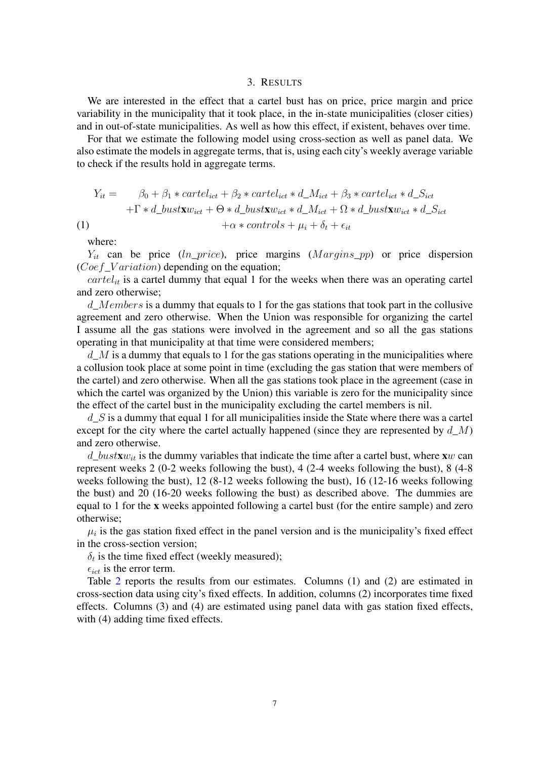#### 3. RESULTS

We are interested in the effect that a cartel bust has on price, price margin and price variability in the municipality that it took place, in the in-state municipalities (closer cities) and in out-of-state municipalities. As well as how this effect, if existent, behaves over time.

For that we estimate the following model using cross-section as well as panel data. We also estimate the models in aggregate terms, that is, using each city's weekly average variable to check if the results hold in aggregate terms.

$$
Y_{it} = \beta_0 + \beta_1 * cartel_{ict} + \beta_2 * cartel_{ict} * d_M_{ict} + \beta_3 * cartel_{ict} * d_S_{ict} + \Gamma * d_Lbust \mathbf{x} w_{ict} + \Theta * d_Lbust \mathbf{x} w_{ict} * d_M_{ict} + \Omega * d_Lbust \mathbf{x} w_{ict} * d_S_{ict}
$$
\n
$$
(1) \quad +\alpha * controls + \mu_i + \delta_t + \epsilon_{it}
$$

where:

 $Y_{it}$  can be price (ln\_price), price margins ( $Margins\_pp$ ) or price dispersion  $(Coef_{\neg}Variation)$  depending on the equation;

 $cartel_{it}$  is a cartel dummy that equal 1 for the weeks when there was an operating cartel and zero otherwise;

d\_Members is a dummy that equals to 1 for the gas stations that took part in the collusive agreement and zero otherwise. When the Union was responsible for organizing the cartel I assume all the gas stations were involved in the agreement and so all the gas stations operating in that municipality at that time were considered members;

 $d_{\perp}M$  is a dummy that equals to 1 for the gas stations operating in the municipalities where a collusion took place at some point in time (excluding the gas station that were members of the cartel) and zero otherwise. When all the gas stations took place in the agreement (case in which the cartel was organized by the Union) this variable is zero for the municipality since the effect of the cartel bust in the municipality excluding the cartel members is nil.

 $d_{\mathcal{L}}S$  is a dummy that equal 1 for all municipalities inside the State where there was a cartel except for the city where the cartel actually happened (since they are represented by  $d_M$ ) and zero otherwise.

 $d\_bustxw_{it}$  is the dummy variables that indicate the time after a cartel bust, where xw can represent weeks 2 (0-2 weeks following the bust), 4 (2-4 weeks following the bust), 8 (4-8 weeks following the bust), 12 (8-12 weeks following the bust), 16 (12-16 weeks following the bust) and 20 (16-20 weeks following the bust) as described above. The dummies are equal to 1 for the x weeks appointed following a cartel bust (for the entire sample) and zero otherwise;

 $\mu_i$  is the gas station fixed effect in the panel version and is the municipality's fixed effect in the cross-section version;

 $\delta_t$  is the time fixed effect (weekly measured);

 $\epsilon_{ict}$  is the error term.

Table [2](#page-7-0) reports the results from our estimates. Columns (1) and (2) are estimated in cross-section data using city's fixed effects. In addition, columns (2) incorporates time fixed effects. Columns (3) and (4) are estimated using panel data with gas station fixed effects, with (4) adding time fixed effects.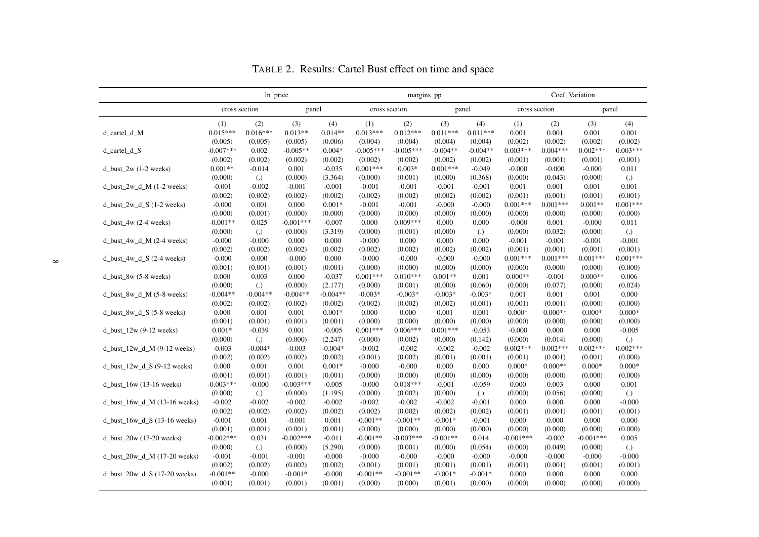<span id="page-7-0"></span>

|                                   |               | ln_price          |             |            |             | margins_pp    |            |                   |             | Coef Variation |             |                   |  |  |
|-----------------------------------|---------------|-------------------|-------------|------------|-------------|---------------|------------|-------------------|-------------|----------------|-------------|-------------------|--|--|
|                                   | cross section |                   | panel       |            |             | cross section |            | panel             |             | cross section  |             | panel             |  |  |
|                                   | (1)           | (2)               | (3)         | (4)        | (1)         | (2)           | (3)        | (4)               | (1)         | (2)            | (3)         | (4)               |  |  |
| d_cartel_d_M                      | $0.015***$    | $0.016***$        | $0.013**$   | $0.014**$  | $0.013***$  | $0.012***$    | $0.011***$ | $0.011***$        | 0.001       | 0.001          | 0.001       | 0.001             |  |  |
|                                   | (0.005)       | (0.005)           | (0.005)     | (0.006)    | (0.004)     | (0.004)       | (0.004)    | (0.004)           | (0.002)     | (0.002)        | (0.002)     | (0.002)           |  |  |
| d_cartel_d_S                      | $-0.007***$   | 0.002             | $-0.005**$  | $0.004*$   | $-0.005***$ | $-0.005***$   | $-0.004**$ | $-0.004**$        | $0.003***$  | $0.004***$     | $0.002***$  | $0.003***$        |  |  |
|                                   | (0.002)       | (0.002)           | (0.002)     | (0.002)    | (0.002)     | (0.002)       | (0.002)    | (0.002)           | (0.001)     | (0.001)        | (0.001)     | (0.001)           |  |  |
| d_bust_2w $(1-2$ weeks)           | $0.001**$     | $-0.014$          | 0.001       | $-0.035$   | $0.001***$  | $0.003*$      | $0.001***$ | $-0.049$          | $-0.000$    | $-0.000$       | $-0.000$    | 0.011             |  |  |
|                                   | (0.000)       | $\left( .\right)$ | (0.000)     | (3.364)    | (0.000)     | (0.001)       | (0.000)    | (0.368)           | (0.000)     | (0.043)        | (0.000)     | $\left( .\right)$ |  |  |
| d bust $2w d M (1-2 weeks)$       | $-0.001$      | $-0.002$          | $-0.001$    | $-0.001$   | $-0.001$    | $-0.001$      | $-0.001$   | $-0.001$          | 0.001       | 0.001          | 0.001       | 0.001             |  |  |
|                                   | (0.002)       | (0.002)           | (0.002)     | (0.002)    | (0.002)     | (0.002)       | (0.002)    | (0.002)           | (0.001)     | (0.001)        | (0.001)     | (0.001)           |  |  |
| d_bust_2w_d_S $(1-2$ weeks)       | $-0.000$      | 0.001             | 0.000       | $0.001*$   | $-0.001$    | $-0.001$      | $-0.000$   | $-0.000$          | $0.001***$  | $0.001***$     | $0.001**$   | $0.001***$        |  |  |
|                                   | (0.000)       | (0.001)           | (0.000)     | (0.000)    | (0.000)     | (0.000)       | (0.000)    | (0.000)           | (0.000)     | (0.000)        | (0.000)     | (0.000)           |  |  |
| d bust $4w(2-4 \text{ weeks})$    | $-0.001**$    | 0.025             | $-0.001***$ | $-0.007$   | 0.000       | $0.009***$    | 0.000      | 0.000             | $-0.000$    | 0.001          | $-0.000$    | 0.011             |  |  |
|                                   | (0.000)       | $\lambda$         | (0.000)     | (3.319)    | (0.000)     | (0.001)       | (0.000)    | $\left( .\right)$ | (0.000)     | (0.032)        | (0.000)     | $\left( .\right)$ |  |  |
| d bust $4w d M (2-4 weeks)$       | $-0.000$      | $-0.000$          | 0.000       | 0.000      | $-0.000$    | 0.000         | 0.000      | 0.000             | $-0.001$    | $-0.001$       | $-0.001$    | $-0.001$          |  |  |
|                                   | (0.002)       | (0.002)           | (0.002)     | (0.002)    | (0.002)     | (0.002)       | (0.002)    | (0.002)           | (0.001)     | (0.001)        | (0.001)     | (0.001)           |  |  |
| $d_l$ bust_4w_d_S (2-4 weeks)     | $-0.000$      | 0.000             | $-0.000$    | 0.000      | $-0.000$    | $-0.000$      | $-0.000$   | $-0.000$          | $0.001***$  | $0.001***$     | $0.001***$  | $0.001***$        |  |  |
|                                   | (0.001)       | (0.001)           | (0.001)     | (0.001)    | (0.000)     | (0.000)       | (0.000)    | (0.000)           | (0.000)     | (0.000)        | (0.000)     | (0.000)           |  |  |
| d_bust_8w $(5-8$ weeks)           | 0.000         | 0.003             | 0.000       | $-0.037$   | $0.001***$  | $0.010***$    | $0.001**$  | 0.001             | $0.000**$   | $-0.001$       | $0.000**$   | 0.006             |  |  |
|                                   | (0.000)       | $\left( .\right)$ | (0.000)     | (2.177)    | (0.000)     | (0.001)       | (0.000)    | (0.060)           | (0.000)     | (0.077)        | (0.000)     | (0.024)           |  |  |
| d bust 8w d $M$ (5-8 weeks)       | $-0.004**$    | $-0.004**$        | $-0.004**$  | $-0.004**$ | $-0.003*$   | $-0.003*$     | $-0.003*$  | $-0.003*$         | 0.001       | 0.001          | 0.001       | 0.000             |  |  |
|                                   | (0.002)       | (0.002)           | (0.002)     | (0.002)    | (0.002)     | (0.002)       | (0.002)    | (0.001)           | (0.001)     | (0.001)        | (0.000)     | (0.000)           |  |  |
| d_bust_8w_d_S $(5-8$ weeks)       | 0.000         | 0.001             | 0.001       | $0.001*$   | 0.000       | 0.000         | 0.001      | 0.001             | $0.000*$    | $0.000**$      | $0.000*$    | $0.000*$          |  |  |
|                                   | (0.001)       | (0.001)           | (0.001)     | (0.001)    | (0.000)     | (0.000)       | (0.000)    | (0.000)           | (0.000)     | (0.000)        | (0.000)     | (0.000)           |  |  |
| d_bust_ $12w(9-12$ weeks)         | $0.001*$      | $-0.039$          | 0.001       | $-0.005$   | $0.001***$  | $0.006***$    | $0.001***$ | $-0.053$          | $-0.000$    | 0.000          | 0.000       | $-0.005$          |  |  |
|                                   | (0.000)       | $\left( .\right)$ | (0.000)     | (2.247)    | (0.000)     | (0.002)       | (0.000)    | (0.142)           | (0.000)     | (0.014)        | (0.000)     | $\left( .\right)$ |  |  |
| d bust $12w$ d M $(9-12$ weeks)   | $-0.003$      | $-0.004*$         | $-0.003$    | $-0.004*$  | $-0.002$    | $-0.002$      | $-0.002$   | $-0.002$          | $0.002***$  | $0.002***$     | $0.002***$  | $0.002***$        |  |  |
|                                   | (0.002)       | (0.002)           | (0.002)     | (0.002)    | (0.001)     | (0.002)       | (0.001)    | (0.001)           | (0.001)     | (0.001)        | (0.001)     | (0.000)           |  |  |
| d_bust_ $12w_d$ _d_S (9-12 weeks) | 0.000         | 0.001             | 0.001       | $0.001*$   | $-0.000$    | $-0.000$      | 0.000      | 0.000             | $0.000*$    | $0.000**$      | $0.000*$    | $0.000*$          |  |  |
|                                   | (0.001)       | (0.001)           | (0.001)     | (0.001)    | (0.000)     | (0.000)       | (0.000)    | (0.000)           | (0.000)     | (0.000)        | (0.000)     | (0.000)           |  |  |
| d bust $16w(13-16$ weeks)         | $-0.003***$   | $-0.000$          | $-0.003***$ | $-0.005$   | $-0.000$    | $0.018***$    | $-0.001$   | $-0.059$          | 0.000       | 0.003          | 0.000       | 0.001             |  |  |
|                                   | (0.000)       | $\lambda$         | (0.000)     | (1.195)    | (0.000)     | (0.002)       | (0.000)    | $\left( .\right)$ | (0.000)     | (0.056)        | (0.000)     | $\lambda$         |  |  |
| d bust $16w$ d M $(13-16$ weeks)  | $-0.002$      | $-0.002$          | $-0.002$    | $-0.002$   | $-0.002$    | $-0.002$      | $-0.002$   | $-0.001$          | 0.000       | 0.000          | 0.000       | $-0.000$          |  |  |
|                                   | (0.002)       | (0.002)           | (0.002)     | (0.002)    | (0.002)     | (0.002)       | (0.002)    | (0.002)           | (0.001)     | (0.001)        | (0.001)     | (0.001)           |  |  |
| d_bust_16w_d_S (13-16 weeks)      | $-0.001$      | 0.001             | $-0.001$    | 0.001      | $-0.001**$  | $-0.001**$    | $-0.001*$  | $-0.001$          | 0.000       | 0.000          | 0.000       | 0.000             |  |  |
|                                   | (0.001)       | (0.001)           | (0.001)     | (0.001)    | (0.000)     | (0.000)       | (0.000)    | (0.000)           | (0.000)     | (0.000)        | (0.000)     | (0.000)           |  |  |
| $d_l$ bust $20w(17-20$ weeks)     | $-0.002***$   | 0.031             | $-0.002***$ | $-0.011$   | $-0.001**$  | $-0.003***$   | $-0.001**$ | 0.014             | $-0.001***$ | $-0.002$       | $-0.001***$ | 0.005             |  |  |
|                                   | (0.000)       | $\lambda$         | (0.000)     | (5.290)    | (0.000)     | (0.001)       | (0.000)    | (0.054)           | (0.000)     | (0.049)        | (0.000)     | $\left( .\right)$ |  |  |
| d bust $20w$ d M $(17-20$ weeks)  | $-0.001$      | $-0.001$          | $-0.001$    | $-0.000$   | $-0.000$    | $-0.000$      | $-0.000$   | $-0.000$          | $-0.000$    | $-0.000$       | $-0.000$    | $-0.000$          |  |  |
|                                   | (0.002)       | (0.002)           | (0.002)     | (0.002)    | (0.001)     | (0.001)       | (0.001)    | (0.001)           | (0.001)     | (0.001)        | (0.001)     | (0.001)           |  |  |
| d_bust_20w_d_S $(17-20$ weeks)    | $-0.001**$    | $-0.000$          | $-0.001*$   | $-0.000$   | $-0.001**$  | $-0.001**$    | $-0.001*$  | $-0.001*$         | 0.000       | 0.000          | 0.000       | 0.000             |  |  |
|                                   | (0.001)       | (0.001)           | (0.001)     | (0.001)    | (0.000)     | (0.000)       | (0.001)    | (0.000)           | (0.000)     | (0.000)        | (0.000)     | (0.000)           |  |  |

TABLE 2. Results: Cartel Bust effect on time and space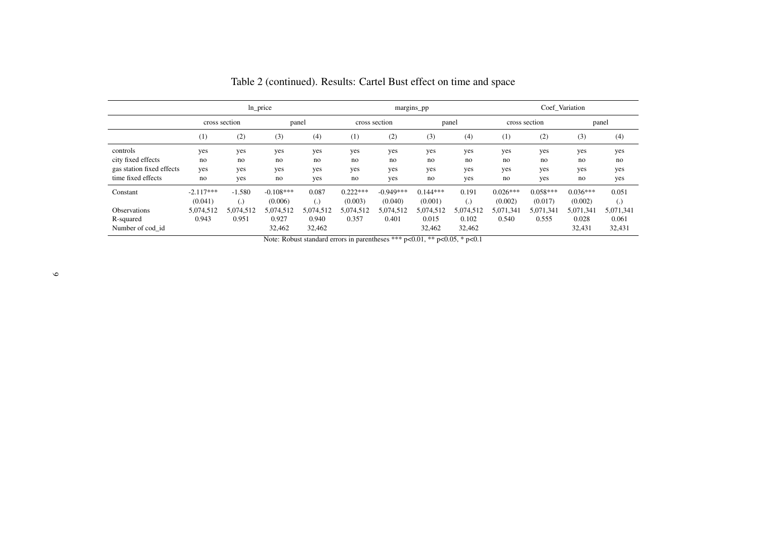|                           |             | ln_price          |             |                   |            |               | margins_pp |                   |            | Coef Variation |            |                   |  |
|---------------------------|-------------|-------------------|-------------|-------------------|------------|---------------|------------|-------------------|------------|----------------|------------|-------------------|--|
|                           |             | cross section     | panel       |                   |            | cross section |            | panel             |            | cross section  |            | panel             |  |
|                           | (1)         | (2)               | (3)         | (4)               | (1)        | (2)           | (3)        | (4)               | (1)        | (2)            | (3)        | (4)               |  |
| controls                  | yes         | yes               | yes         | yes               | yes        | yes           | yes        | yes               | yes        | yes            | yes        | yes               |  |
| city fixed effects        | no          | no                | no          | no                | no         | no            | no         | no                | no         | no             | no         | no                |  |
| gas station fixed effects | yes         | yes               | yes         | yes               | yes        | yes           | yes        | yes               | yes        | yes            | yes        | yes               |  |
| time fixed effects        | no          | yes               | no          | yes               | no         | yes           | no         | yes               | no         | yes            | no         | yes               |  |
| Constant                  | $-2.117***$ | $-1.580$          | $-0.108***$ | 0.087             | $0.222***$ | $-0.949***$   | $0.144***$ | 0.191             | $0.026***$ | $0.058***$     | $0.036***$ | 0.051             |  |
|                           | (0.041)     | $\left( .\right)$ | (0.006)     | $\left( .\right)$ | (0.003)    | (0.040)       | (0.001)    | $\left( .\right)$ | (0.002)    | (0.017)        | (0.002)    | $\left( .\right)$ |  |
| <b>Observations</b>       | 5,074,512   | 5,074,512         | 5,074,512   | 5,074,512         | 5,074,512  | 5,074,512     | 5,074,512  | 5,074,512         | 5,071,341  | 5,071,341      | 5,071,341  | 5,071,341         |  |
| R-squared                 | 0.943       | 0.951             | 0.927       | 0.940             | 0.357      | 0.401         | 0.015      | 0.102             | 0.540      | 0.555          | 0.028      | 0.061             |  |
| Number of cod id          |             |                   | 32,462      | 32,462            |            |               | 32,462     | 32,462            |            |                | 32,431     | 32,431            |  |

Table 2 (continued). Results: Cartel Bust effect on time and space

Note: Robust standard errors in parentheses \*\*\* p<0.01, \*\* p<0.05, \* p<0.1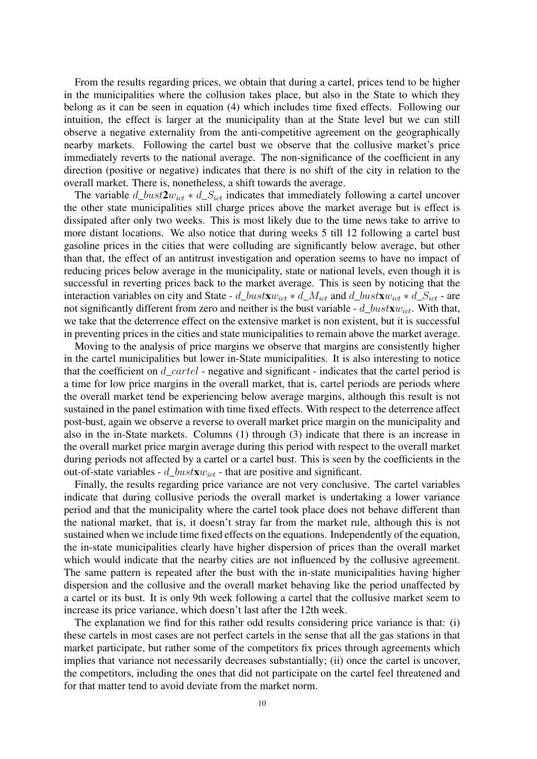From the results regarding prices, we obtain that during a cartel, prices tend to be higher in the municipalities where the collusion takes place, but also in the State to which they belong as it can be seen in equation (4) which includes time fixed effects. Following our intuition, the effect is larger at the municipality than at the State level but we can still observe a negative externality from the anti-competitive agreement on the geographically nearby markets. Following the cartel bust we observe that the collusive market's price immediately reverts to the national average. The non-significance of the coefficient in any direction (positive or negative) indicates that there is no shift of the city in relation to the overall market. There is, nonetheless, a shift towards the average.

The variable  $d\_bust2w_{ict} * d\_S_{ict}$  indicates that immediately following a cartel uncover the other state municipalities still charge prices above the market average but is effect is dissipated after only two weeks. This is most likely due to the time news take to arrive to more distant locations. We also notice that during weeks 5 till 12 following a cartel bust gasoline prices in the cities that were colluding are significantly below average, but other than that, the effect of an antitrust investigation and operation seems to have no impact of reducing prices below average in the municipality, state or national levels, even though it is successful in reverting prices back to the market average. This is seen by noticing that the interaction variables on city and State -  $d\_bustxw_{ict} * d\_M_{ict}$  and  $d\_bustxw_{ict} * d\_S_{ict}$  - are not significantly different from zero and neither is the bust variable -  $d\_bustxw_{ict}$ . With that, we take that the deterrence effect on the extensive market is non existent, but it is successful in preventing prices in the cities and state municipalities to remain above the market average.

Moving to the analysis of price margins we observe that margins are consistently higher in the cartel municipalities but lower in-State municipalities. It is also interesting to notice that the coefficient on  $d$  cartel - negative and significant - indicates that the cartel period is a time for low price margins in the overall market, that is, cartel periods are periods where the overall market tend be experiencing below average margins, although this result is not sustained in the panel estimation with time fixed effects. With respect to the deterrence affect post-bust, again we observe a reverse to overall market price margin on the municipality and also in the in-State markets. Columns (1) through (3) indicate that there is an increase in the overall market price margin average during this period with respect to the overall market during periods not affected by a cartel or a cartel bust. This is seen by the coefficients in the out-of-state variables -  $d\_bustxw_{ict}$  - that are positive and significant.

Finally, the results regarding price variance are not very conclusive. The cartel variables indicate that during collusive periods the overall market is undertaking a lower variance period and that the municipality where the cartel took place does not behave different than the national market, that is, it doesn't stray far from the market rule, although this is not sustained when we include time fixed effects on the equations. Independently of the equation, the in-state municipalities clearly have higher dispersion of prices than the overall market which would indicate that the nearby cities are not influenced by the collusive agreement. The same pattern is repeated after the bust with the in-state municipalities having higher dispersion and the collusive and the overall market behaving like the period unaffected by a cartel or its bust. It is only 9th week following a cartel that the collusive market seem to increase its price variance, which doesn't last after the 12th week.

The explanation we find for this rather odd results considering price variance is that: (i) these cartels in most cases are not perfect cartels in the sense that all the gas stations in that market participate, but rather some of the competitors fix prices through agreements which implies that variance not necessarily decreases substantially; (ii) once the cartel is uncover, the competitors, including the ones that did not participate on the cartel feel threatened and for that matter tend to avoid deviate from the market norm.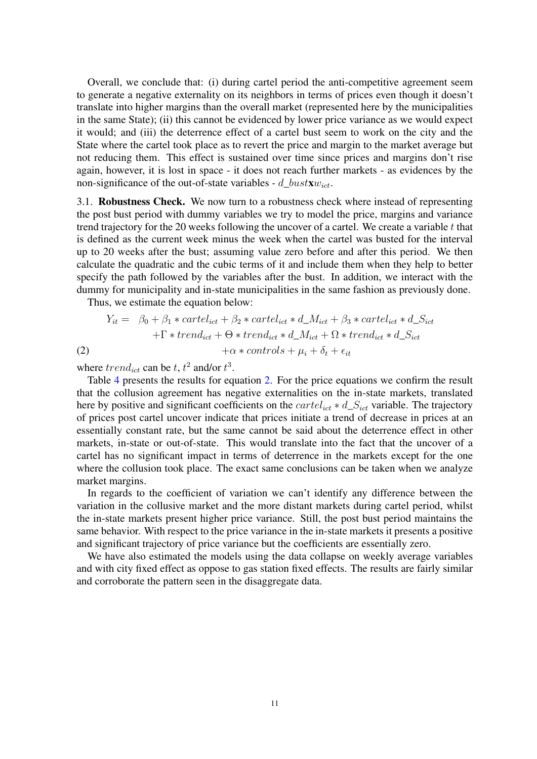Overall, we conclude that: (i) during cartel period the anti-competitive agreement seem to generate a negative externality on its neighbors in terms of prices even though it doesn't translate into higher margins than the overall market (represented here by the municipalities in the same State); (ii) this cannot be evidenced by lower price variance as we would expect it would; and (iii) the deterrence effect of a cartel bust seem to work on the city and the State where the cartel took place as to revert the price and margin to the market average but not reducing them. This effect is sustained over time since prices and margins don't rise again, however, it is lost in space - it does not reach further markets - as evidences by the non-significance of the out-of-state variables - d\_bustx $w_{ict}$ .

3.1. Robustness Check. We now turn to a robustness check where instead of representing the post bust period with dummy variables we try to model the price, margins and variance trend trajectory for the 20 weeks following the uncover of a cartel. We create a variable  $t$  that is defined as the current week minus the week when the cartel was busted for the interval up to 20 weeks after the bust; assuming value zero before and after this period. We then calculate the quadratic and the cubic terms of it and include them when they help to better specify the path followed by the variables after the bust. In addition, we interact with the dummy for municipality and in-state municipalities in the same fashion as previously done.

<span id="page-10-0"></span>Thus, we estimate the equation below:

$$
Y_{it} = \beta_0 + \beta_1 * cartel_{ict} + \beta_2 * cartel_{ict} * d\_M_{ict} + \beta_3 * cartel_{ict} * d\_S_{ict} + \Gamma * trend_{ict} + \Theta * trend_{ict} * d\_M_{ict} + \Omega * trend_{ict} * d\_S_{ict}
$$
\n
$$
(2) \qquad +\alpha * controls + \mu_i + \delta_t + \epsilon_{it}
$$

where  $trend_{ict}$  can be t,  $t^2$  and/or  $t^3$ .

Table [4](#page-11-0) presents the results for equation [2.](#page-10-0) For the price equations we confirm the result that the collusion agreement has negative externalities on the in-state markets, translated here by positive and significant coefficients on the  $cartel_{ict} * d\_S_{ict}$  variable. The trajectory of prices post cartel uncover indicate that prices initiate a trend of decrease in prices at an essentially constant rate, but the same cannot be said about the deterrence effect in other markets, in-state or out-of-state. This would translate into the fact that the uncover of a cartel has no significant impact in terms of deterrence in the markets except for the one where the collusion took place. The exact same conclusions can be taken when we analyze market margins.

In regards to the coefficient of variation we can't identify any difference between the variation in the collusive market and the more distant markets during cartel period, whilst the in-state markets present higher price variance. Still, the post bust period maintains the same behavior. With respect to the price variance in the in-state markets it presents a positive and significant trajectory of price variance but the coefficients are essentially zero.

We have also estimated the models using the data collapse on weekly average variables and with city fixed effect as oppose to gas station fixed effects. The results are fairly similar and corroborate the pattern seen in the disaggregate data.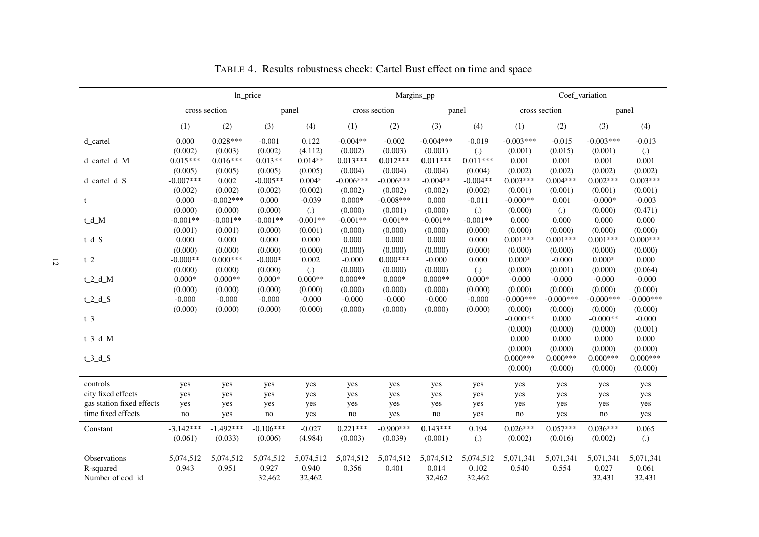<span id="page-11-0"></span>

|                                                 |                        | Coef_variation<br>ln_price<br>Margins_pp |                              |                               |                        |                         |                              |                               | cross section<br>panel<br>(1)<br>(3)<br>(2)<br>$-0.015$<br>$-0.003***$<br>(0.015)<br>(0.001)<br>0.001<br>0.001<br>0.001<br>(0.002)<br>(0.002)<br>$0.004***$<br>$0.002***$<br>(0.001)<br>(0.001)<br>0.001<br>$-0.000*$<br>$\left( .\right)$<br>(0.000)<br>0.000<br>0.000<br>0.000<br>(0.000)<br>(0.000)<br>$0.001***$<br>$0.001***$<br>(0.000)<br>(0.000)<br>$-0.000$<br>$0.000*$<br>(0.001)<br>(0.000)<br>$-0.000$<br>$-0.000$<br>$-0.000$<br>(0.000)<br>(0.000)<br>$-0.000***$<br>$-0.000$ ***<br>(0.000)<br>(0.000)<br>(0.000)<br>0.000<br>$-0.000**$<br>(0.000)<br>(0.000)<br>(0.000)<br>0.000<br>0.000<br>0.000<br>(0.000)<br>(0.000)<br>(0.000)<br>$0.000***$<br>$0.000***$<br>(0.000)<br>(0.000)<br>yes<br>yes<br>yes<br>yes<br>yes<br>yes<br>yes<br>yes<br>yes<br>$\rm{no}$<br>no<br>yes |                       |                              |                               |
|-------------------------------------------------|------------------------|------------------------------------------|------------------------------|-------------------------------|------------------------|-------------------------|------------------------------|-------------------------------|-------------------------------------------------------------------------------------------------------------------------------------------------------------------------------------------------------------------------------------------------------------------------------------------------------------------------------------------------------------------------------------------------------------------------------------------------------------------------------------------------------------------------------------------------------------------------------------------------------------------------------------------------------------------------------------------------------------------------------------------------------------------------------------------------|-----------------------|------------------------------|-------------------------------|
|                                                 |                        | cross section                            |                              | panel                         |                        | cross section           |                              | panel                         |                                                                                                                                                                                                                                                                                                                                                                                                                                                                                                                                                                                                                                                                                                                                                                                                 |                       |                              |                               |
|                                                 | (1)                    | (2)                                      | (3)                          | (4)                           | (1)                    | (2)                     | (3)                          | (4)                           |                                                                                                                                                                                                                                                                                                                                                                                                                                                                                                                                                                                                                                                                                                                                                                                                 |                       |                              | (4)                           |
| d_cartel                                        | 0.000<br>(0.002)       | $0.028***$<br>(0.003)                    | $-0.001$<br>(0.002)          | 0.122<br>(4.112)              | $-0.004**$<br>(0.002)  | $-0.002$<br>(0.003)     | $-0.004***$<br>(0.001)       | $-0.019$<br>$\lambda$         | $-0.003***$<br>(0.001)                                                                                                                                                                                                                                                                                                                                                                                                                                                                                                                                                                                                                                                                                                                                                                          |                       |                              | $-0.013$<br>$\left( .\right)$ |
| d_cartel_d_M                                    | $0.015***$<br>(0.005)  | $0.016***$<br>(0.005)                    | $0.013**$<br>(0.005)         | $0.014**$<br>(0.005)          | $0.013***$<br>(0.004)  | $0.012***$<br>(0.004)   | $0.011***$<br>(0.004)        | $0.011***$<br>(0.004)         | (0.002)                                                                                                                                                                                                                                                                                                                                                                                                                                                                                                                                                                                                                                                                                                                                                                                         |                       |                              | 0.001<br>(0.002)              |
| d_cartel_d_S                                    | $-0.007***$<br>(0.002) | 0.002<br>(0.002)                         | $-0.005**$<br>(0.002)        | $0.004*$<br>(0.002)           | $-0.006***$<br>(0.002) | $-0.006***$<br>(0.002)  | $-0.004**$<br>(0.002)        | $-0.004**$<br>(0.002)         | $0.003***$<br>(0.001)                                                                                                                                                                                                                                                                                                                                                                                                                                                                                                                                                                                                                                                                                                                                                                           |                       |                              | $0.003***$<br>(0.001)         |
| t                                               | 0.000<br>(0.000)       | $-0.002***$<br>(0.000)                   | 0.000<br>(0.000)             | $-0.039$<br>$\left( .\right)$ | $0.000*$<br>(0.000)    | $-0.008***$<br>(0.001)  | 0.000<br>(0.000)             | $-0.011$<br>$\left( .\right)$ | $-0.000**$<br>(0.000)                                                                                                                                                                                                                                                                                                                                                                                                                                                                                                                                                                                                                                                                                                                                                                           |                       |                              | $-0.003$<br>(0.471)           |
| $t_d_M$                                         | $-0.001**$<br>(0.001)  | $-0.001**$<br>(0.001)                    | $-0.001**$<br>(0.000)        | $-0.001**$<br>(0.001)         | $-0.001**$<br>(0.000)  | $-0.001**$<br>(0.000)   | $-0.001**$<br>(0.000)        | $-0.001**$<br>(0.000)         | (0.000)                                                                                                                                                                                                                                                                                                                                                                                                                                                                                                                                                                                                                                                                                                                                                                                         |                       |                              | 0.000<br>(0.000)              |
| $t_d_S$                                         | 0.000<br>(0.000)       | 0.000<br>(0.000)                         | 0.000<br>(0.000)             | 0.000<br>(0.000)              | 0.000<br>(0.000)       | 0.000<br>(0.000)        | 0.000<br>(0.000)             | 0.000<br>(0.000)              | $0.001***$<br>(0.000)                                                                                                                                                                                                                                                                                                                                                                                                                                                                                                                                                                                                                                                                                                                                                                           |                       |                              | $0.000***$<br>(0.000)         |
| $t_2$                                           | $-0.000**$<br>(0.000)  | $0.000***$<br>(0.000)                    | $-0.000*$<br>(0.000)         | 0.002<br>$\lambda$            | $-0.000$<br>(0.000)    | $0.000***$<br>(0.000)   | $-0.000$<br>(0.000)          | 0.000<br>(.)                  | $0.000*$<br>(0.000)                                                                                                                                                                                                                                                                                                                                                                                                                                                                                                                                                                                                                                                                                                                                                                             |                       |                              | 0.000<br>(0.064)              |
| $t_2_d_M$                                       | $0.000*$<br>(0.000)    | $0.000**$<br>(0.000)                     | $0.000*$<br>(0.000)          | $0.000**$<br>(0.000)          | $0.000**$<br>(0.000)   | $0.000*$<br>(0.000)     | $0.000**$<br>(0.000)         | $0.000*$<br>(0.000)           | (0.000)                                                                                                                                                                                                                                                                                                                                                                                                                                                                                                                                                                                                                                                                                                                                                                                         |                       |                              | $-0.000$<br>(0.000)           |
| $t_2_d_S$                                       | $-0.000$<br>(0.000)    | $-0.000$<br>(0.000)                      | $-0.000$<br>(0.000)          | $-0.000$<br>(0.000)           | $-0.000$<br>(0.000)    | $-0.000$<br>(0.000)     | $-0.000$<br>(0.000)          | $-0.000$<br>(0.000)           | $-0.000***$                                                                                                                                                                                                                                                                                                                                                                                                                                                                                                                                                                                                                                                                                                                                                                                     |                       |                              | $-0.000***$<br>(0.000)        |
| $t_3$                                           |                        |                                          |                              |                               |                        |                         |                              |                               | $-0.000**$                                                                                                                                                                                                                                                                                                                                                                                                                                                                                                                                                                                                                                                                                                                                                                                      |                       |                              | $-0.000$<br>(0.001)           |
| $t_3_d_M$                                       |                        |                                          |                              |                               |                        |                         |                              |                               |                                                                                                                                                                                                                                                                                                                                                                                                                                                                                                                                                                                                                                                                                                                                                                                                 |                       |                              | 0.000<br>(0.000)              |
| $t_3_d_S$                                       |                        |                                          |                              |                               |                        |                         |                              |                               | $0.000***$<br>(0.000)                                                                                                                                                                                                                                                                                                                                                                                                                                                                                                                                                                                                                                                                                                                                                                           |                       |                              | $0.000***$<br>(0.000)         |
| controls                                        | yes                    | yes                                      | yes                          | yes                           | yes                    | yes                     | yes                          | yes                           |                                                                                                                                                                                                                                                                                                                                                                                                                                                                                                                                                                                                                                                                                                                                                                                                 |                       |                              | yes                           |
| city fixed effects<br>gas station fixed effects | yes                    | yes                                      | yes                          | yes                           | yes                    | yes                     | yes                          | yes                           |                                                                                                                                                                                                                                                                                                                                                                                                                                                                                                                                                                                                                                                                                                                                                                                                 |                       |                              | yes                           |
| time fixed effects                              | yes<br>$\rm{no}$       | yes<br>yes                               | yes<br>no                    | yes<br>yes                    | yes<br>no              | yes<br>yes              | yes<br>$\rm{no}$             | yes<br>yes                    |                                                                                                                                                                                                                                                                                                                                                                                                                                                                                                                                                                                                                                                                                                                                                                                                 |                       |                              | yes<br>yes                    |
| Constant                                        | $-3.142***$<br>(0.061) | $-1.492***$<br>(0.033)                   | $-0.106***$<br>(0.006)       | $-0.027$<br>(4.984)           | $0.221***$<br>(0.003)  | $-0.900$ ***<br>(0.039) | $0.143***$<br>(0.001)        | 0.194<br>$\left( .\right)$    | $0.026***$<br>(0.002)                                                                                                                                                                                                                                                                                                                                                                                                                                                                                                                                                                                                                                                                                                                                                                           | $0.057***$<br>(0.016) | $0.036***$<br>(0.002)        | 0.065<br>$\left( .\right)$    |
| Observations<br>R-squared<br>Number of cod_id   | 5,074,512<br>0.943     | 5,074,512<br>0.951                       | 5,074,512<br>0.927<br>32,462 | 5,074,512<br>0.940<br>32,462  | 5,074,512<br>0.356     | 5,074,512<br>0.401      | 5,074,512<br>0.014<br>32,462 | 5,074,512<br>0.102<br>32,462  | 5,071,341<br>0.540                                                                                                                                                                                                                                                                                                                                                                                                                                                                                                                                                                                                                                                                                                                                                                              | 5,071,341<br>0.554    | 5,071,341<br>0.027<br>32,431 | 5,071,341<br>0.061<br>32,431  |

TABLE 4. Results robustness check: Cartel Bust effect on time and space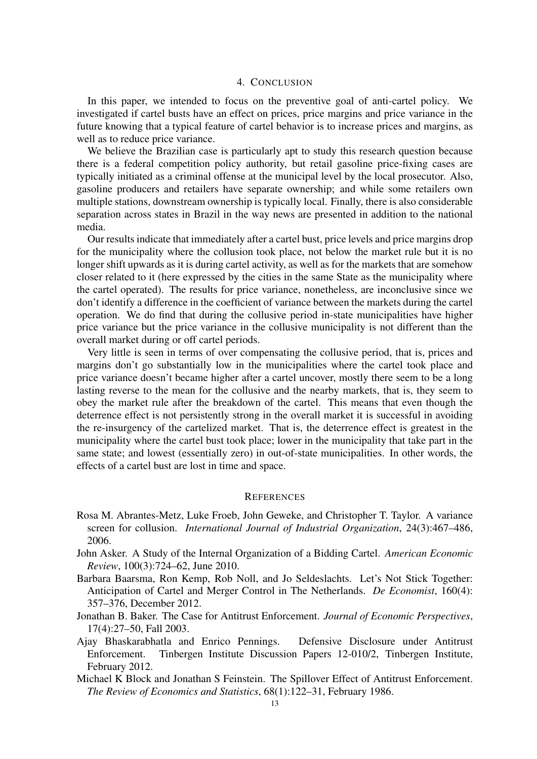#### 4. CONCLUSION

In this paper, we intended to focus on the preventive goal of anti-cartel policy. We investigated if cartel busts have an effect on prices, price margins and price variance in the future knowing that a typical feature of cartel behavior is to increase prices and margins, as well as to reduce price variance.

We believe the Brazilian case is particularly apt to study this research question because there is a federal competition policy authority, but retail gasoline price-fixing cases are typically initiated as a criminal offense at the municipal level by the local prosecutor. Also, gasoline producers and retailers have separate ownership; and while some retailers own multiple stations, downstream ownership is typically local. Finally, there is also considerable separation across states in Brazil in the way news are presented in addition to the national media.

Our results indicate that immediately after a cartel bust, price levels and price margins drop for the municipality where the collusion took place, not below the market rule but it is no longer shift upwards as it is during cartel activity, as well as for the markets that are somehow closer related to it (here expressed by the cities in the same State as the municipality where the cartel operated). The results for price variance, nonetheless, are inconclusive since we don't identify a difference in the coefficient of variance between the markets during the cartel operation. We do find that during the collusive period in-state municipalities have higher price variance but the price variance in the collusive municipality is not different than the overall market during or off cartel periods.

Very little is seen in terms of over compensating the collusive period, that is, prices and margins don't go substantially low in the municipalities where the cartel took place and price variance doesn't became higher after a cartel uncover, mostly there seem to be a long lasting reverse to the mean for the collusive and the nearby markets, that is, they seem to obey the market rule after the breakdown of the cartel. This means that even though the deterrence effect is not persistently strong in the overall market it is successful in avoiding the re-insurgency of the cartelized market. That is, the deterrence effect is greatest in the municipality where the cartel bust took place; lower in the municipality that take part in the same state; and lowest (essentially zero) in out-of-state municipalities. In other words, the effects of a cartel bust are lost in time and space.

#### **REFERENCES**

- <span id="page-12-0"></span>Rosa M. Abrantes-Metz, Luke Froeb, John Geweke, and Christopher T. Taylor. A variance screen for collusion. *International Journal of Industrial Organization*, 24(3):467–486, 2006.
- <span id="page-12-1"></span>John Asker. A Study of the Internal Organization of a Bidding Cartel. *American Economic Review*, 100(3):724–62, June 2010.
- <span id="page-12-3"></span>Barbara Baarsma, Ron Kemp, Rob Noll, and Jo Seldeslachts. Let's Not Stick Together: Anticipation of Cartel and Merger Control in The Netherlands. *De Economist*, 160(4): 357–376, December 2012.
- <span id="page-12-4"></span>Jonathan B. Baker. The Case for Antitrust Enforcement. *Journal of Economic Perspectives*, 17(4):27–50, Fall 2003.
- Ajay Bhaskarabhatla and Enrico Pennings. Defensive Disclosure under Antitrust Enforcement. Tinbergen Institute Discussion Papers 12-010/2, Tinbergen Institute, February 2012.
- <span id="page-12-2"></span>Michael K Block and Jonathan S Feinstein. The Spillover Effect of Antitrust Enforcement. *The Review of Economics and Statistics*, 68(1):122–31, February 1986.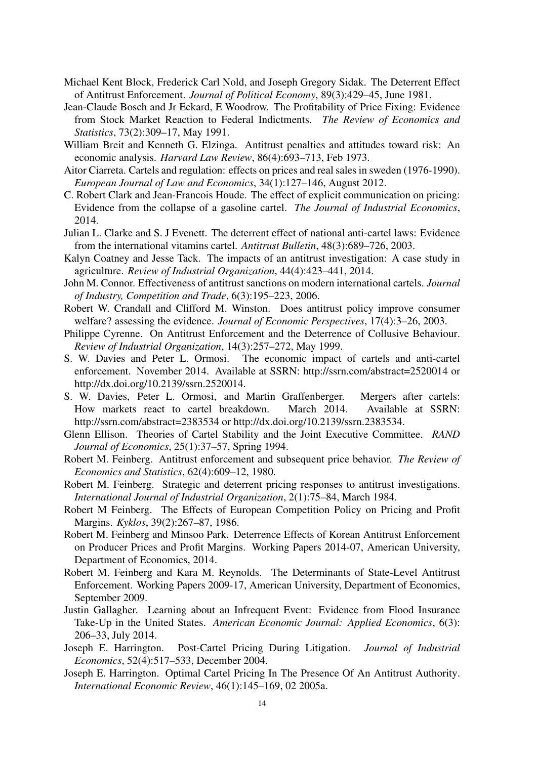- <span id="page-13-3"></span>Michael Kent Block, Frederick Carl Nold, and Joseph Gregory Sidak. The Deterrent Effect of Antitrust Enforcement. *Journal of Political Economy*, 89(3):429–45, June 1981.
- Jean-Claude Bosch and Jr Eckard, E Woodrow. The Profitability of Price Fixing: Evidence from Stock Market Reaction to Federal Indictments. *The Review of Economics and Statistics*, 73(2):309–17, May 1991.
- William Breit and Kenneth G. Elzinga. Antitrust penalties and attitudes toward risk: An economic analysis. *Harvard Law Review*, 86(4):693–713, Feb 1973.
- <span id="page-13-9"></span>Aitor Ciarreta. Cartels and regulation: effects on prices and real sales in sweden (1976-1990). *European Journal of Law and Economics*, 34(1):127–146, August 2012.
- <span id="page-13-1"></span>C. Robert Clark and Jean-Francois Houde. The effect of explicit communication on pricing: Evidence from the collapse of a gasoline cartel. *The Journal of Industrial Economics*, 2014.
- <span id="page-13-5"></span>Julian L. Clarke and S. J Evenett. The deterrent effect of national anti-cartel laws: Evidence from the international vitamins cartel. *Antitrust Bulletin*, 48(3):689–726, 2003.
- <span id="page-13-6"></span>Kalyn Coatney and Jesse Tack. The impacts of an antitrust investigation: A case study in agriculture. *Review of Industrial Organization*, 44(4):423–441, 2014.
- John M. Connor. Effectiveness of antitrust sanctions on modern international cartels. *Journal of Industry, Competition and Trade*, 6(3):195–223, 2006.
- <span id="page-13-8"></span>Robert W. Crandall and Clifford M. Winston. Does antitrust policy improve consumer welfare? assessing the evidence. *Journal of Economic Perspectives*, 17(4):3–26, 2003.
- <span id="page-13-10"></span>Philippe Cyrenne. On Antitrust Enforcement and the Deterrence of Collusive Behaviour. *Review of Industrial Organization*, 14(3):257–272, May 1999.
- S. W. Davies and Peter L. Ormosi. The economic impact of cartels and anti-cartel enforcement. November 2014. Available at SSRN: http://ssrn.com/abstract=2520014 or http://dx.doi.org/10.2139/ssrn.2520014.
- S. W. Davies, Peter L. Ormosi, and Martin Graffenberger. Mergers after cartels: How markets react to cartel breakdown. March 2014. Available at SSRN: http://ssrn.com/abstract=2383534 or http://dx.doi.org/10.2139/ssrn.2383534.
- <span id="page-13-0"></span>Glenn Ellison. Theories of Cartel Stability and the Joint Executive Committee. *RAND Journal of Economics*, 25(1):37–57, Spring 1994.
- <span id="page-13-2"></span>Robert M. Feinberg. Antitrust enforcement and subsequent price behavior. *The Review of Economics and Statistics*, 62(4):609–12, 1980.
- <span id="page-13-7"></span>Robert M. Feinberg. Strategic and deterrent pricing responses to antitrust investigations. *International Journal of Industrial Organization*, 2(1):75–84, March 1984.
- <span id="page-13-4"></span>Robert M Feinberg. The Effects of European Competition Policy on Pricing and Profit Margins. *Kyklos*, 39(2):267–87, 1986.
- Robert M. Feinberg and Minsoo Park. Deterrence Effects of Korean Antitrust Enforcement on Producer Prices and Profit Margins. Working Papers 2014-07, American University, Department of Economics, 2014.
- Robert M. Feinberg and Kara M. Reynolds. The Determinants of State-Level Antitrust Enforcement. Working Papers 2009-17, American University, Department of Economics, September 2009.
- Justin Gallagher. Learning about an Infrequent Event: Evidence from Flood Insurance Take-Up in the United States. *American Economic Journal: Applied Economics*, 6(3): 206–33, July 2014.
- Joseph E. Harrington. Post-Cartel Pricing During Litigation. *Journal of Industrial Economics*, 52(4):517–533, December 2004.
- Joseph E. Harrington. Optimal Cartel Pricing In The Presence Of An Antitrust Authority. *International Economic Review*, 46(1):145–169, 02 2005a.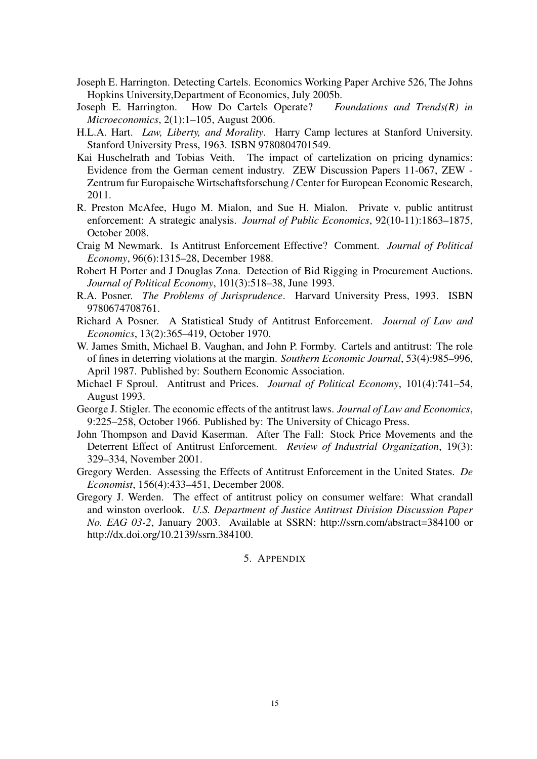- <span id="page-14-0"></span>Joseph E. Harrington. Detecting Cartels. Economics Working Paper Archive 526, The Johns Hopkins University,Department of Economics, July 2005b.
- Joseph E. Harrington. How Do Cartels Operate? *Foundations and Trends(R) in Microeconomics*, 2(1):1–105, August 2006.
- H.L.A. Hart. *Law, Liberty, and Morality*. Harry Camp lectures at Stanford University. Stanford University Press, 1963. ISBN 9780804701549.
- Kai Huschelrath and Tobias Veith. The impact of cartelization on pricing dynamics: Evidence from the German cement industry. ZEW Discussion Papers 11-067, ZEW - Zentrum fur Europaische Wirtschaftsforschung / Center for European Economic Research, 2011.
- R. Preston McAfee, Hugo M. Mialon, and Sue H. Mialon. Private v. public antitrust enforcement: A strategic analysis. *Journal of Public Economics*, 92(10-11):1863–1875, October 2008.
- <span id="page-14-5"></span>Craig M Newmark. Is Antitrust Enforcement Effective? Comment. *Journal of Political Economy*, 96(6):1315–28, December 1988.
- <span id="page-14-1"></span>Robert H Porter and J Douglas Zona. Detection of Bid Rigging in Procurement Auctions. *Journal of Political Economy*, 101(3):518–38, June 1993.
- R.A. Posner. *The Problems of Jurisprudence*. Harvard University Press, 1993. ISBN 9780674708761.
- Richard A Posner. A Statistical Study of Antitrust Enforcement. *Journal of Law and Economics*, 13(2):365–419, October 1970.
- <span id="page-14-6"></span>W. James Smith, Michael B. Vaughan, and John P. Formby. Cartels and antitrust: The role of fines in deterring violations at the margin. *Southern Economic Journal*, 53(4):985–996, April 1987. Published by: Southern Economic Association.
- <span id="page-14-4"></span>Michael F Sproul. Antitrust and Prices. *Journal of Political Economy*, 101(4):741–54, August 1993.
- <span id="page-14-2"></span>George J. Stigler. The economic effects of the antitrust laws. *Journal of Law and Economics*, 9:225–258, October 1966. Published by: The University of Chicago Press.
- <span id="page-14-7"></span>John Thompson and David Kaserman. After The Fall: Stock Price Movements and the Deterrent Effect of Antitrust Enforcement. *Review of Industrial Organization*, 19(3): 329–334, November 2001.
- Gregory Werden. Assessing the Effects of Antitrust Enforcement in the United States. *De Economist*, 156(4):433–451, December 2008.
- <span id="page-14-3"></span>Gregory J. Werden. The effect of antitrust policy on consumer welfare: What crandall and winston overlook. *U.S. Department of Justice Antitrust Division Discussion Paper No. EAG 03-2*, January 2003. Available at SSRN: http://ssrn.com/abstract=384100 or http://dx.doi.org/10.2139/ssrn.384100.

## 5. APPENDIX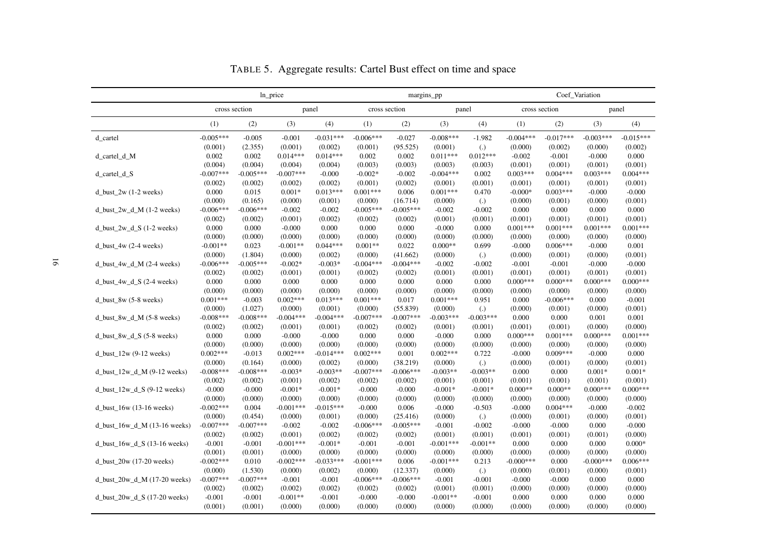|                                  |             |               | ln_price    |             |             |               | margins_pp  |                   |             |               | Coef_Variation        |             |
|----------------------------------|-------------|---------------|-------------|-------------|-------------|---------------|-------------|-------------------|-------------|---------------|-----------------------|-------------|
|                                  |             | cross section |             | panel       |             | cross section |             | panel             |             | cross section | panel                 |             |
|                                  | (1)         | (2)           | (3)         | (4)         | (1)         | (2)           | (3)         | (4)               | (1)         | (2)           | (3)                   | (4)         |
| d_cartel                         | $-0.005***$ | $-0.005$      | $-0.001$    | $-0.031***$ | $-0.006***$ | $-0.027$      | $-0.008***$ | $-1.982$          | $-0.004***$ | $-0.017***$   | $-0.003***$           | $-0.015***$ |
|                                  | (0.001)     | (2.355)       | (0.001)     | (0.002)     | (0.001)     | (95.525)      | (0.001)     | $\left( .\right)$ | (0.000)     | (0.002)       | (0.000)               | (0.002)     |
| d_cartel_d_M                     | 0.002       | 0.002         | $0.014***$  | $0.014***$  | 0.002       | 0.002         | $0.011***$  | $0.012***$        | $-0.002$    | $-0.001$      | $-0.000$              | 0.000       |
|                                  | (0.004)     | (0.004)       | (0.004)     | (0.004)     | (0.003)     | (0.003)       | (0.003)     | (0.003)           | (0.001)     | (0.001)       | (0.001)               | (0.001)     |
| $d_{\text{cartel}_d}$            | $-0.007***$ | $-0.005***$   | $-0.007***$ | $-0.000$    | $-0.002*$   | $-0.002$      | $-0.004***$ | 0.002             | $0.003***$  | $0.004***$    | $0.003***$            | $0.004***$  |
|                                  | (0.002)     | (0.002)       | (0.002)     | (0.002)     | (0.001)     | (0.002)       | (0.001)     | (0.001)           | (0.001)     | (0.001)       | (0.001)               | (0.001)     |
| d_bust_2w $(1-2$ weeks)          | 0.000       | 0.015         | $0.001*$    | $0.013***$  | $0.001***$  | 0.006         | $0.001***$  | 0.470             | $-0.000*$   | $0.003***$    | $-0.000$              | $-0.000$    |
|                                  | (0.000)     | (0.165)       | (0.000)     | (0.001)     | (0.000)     | (16.714)      | (0.000)     | $\left( .\right)$ | (0.000)     | (0.001)       | (0.000)               | (0.001)     |
| d_bust_2w_d_M $(1-2$ weeks)      | $-0.006***$ | $-0.006***$   | $-0.002$    | $-0.002$    | $-0.005***$ | $-0.005***$   | $-0.002$    | $-0.002$          | 0.000       | 0.000         | 0.000                 | 0.000       |
|                                  | (0.002)     | (0.002)       | (0.001)     | (0.002)     | (0.002)     | (0.002)       | (0.001)     | (0.001)           | (0.001)     | (0.001)       | (0.001)               | (0.001)     |
| d_bust_2w_d_S $(1-2$ weeks)      | 0.000       | 0.000         | $-0.000$    | 0.000       | 0.000       | 0.000         | $-0.000$    | 0.000             | $0.001***$  | $0.001***$    | $0.001***$            | $0.001***$  |
|                                  | (0.000)     | (0.000)       | (0.000)     | (0.000)     | (0.000)     | (0.000)       | (0.000)     | (0.000)           | (0.000)     | (0.000)       | (0.000)               | (0.000)     |
| d_bust_4w $(2-4$ weeks)          | $-0.001**$  | 0.023         | $-0.001**$  | $0.044***$  | $0.001**$   | 0.022         | $0.000**$   | 0.699             | $-0.000$    | $0.006***$    | $-0.000$              | 0.001       |
|                                  | (0.000)     | (1.804)       | (0.000)     | (0.002)     | (0.000)     | (41.662)      | (0.000)     | $\left( .\right)$ | (0.000)     | (0.001)       | (0.000)               | (0.001)     |
| d_bust_4w_d_M $(2-4$ weeks)      | $-0.006***$ | $-0.005***$   | $-0.002*$   | $-0.003*$   | $-0.004***$ | $-0.004***$   | $-0.002$    | $-0.002$          | $-0.001$    | $-0.001$      | $-0.000$              | $-0.000$    |
|                                  | (0.002)     | (0.002)       | (0.001)     | (0.001)     | (0.002)     | (0.002)       | (0.001)     | (0.001)           | (0.001)     | (0.001)       | (0.001)               | (0.001)     |
| $d_lust_4w_d_S$ (2-4 weeks)      | 0.000       | 0.000         | 0.000       | 0.000       | 0.000       | 0.000         | 0.000       | 0.000             | $0.000***$  | $0.000***$    | $0.000***$            | $0.000***$  |
|                                  | (0.000)     | (0.000)       | (0.000)     | (0.000)     | (0.000)     | (0.000)       | (0.000)     | (0.000)           | (0.000)     | (0.000)       | (0.000)               | (0.000)     |
| $d\_burst_8$ $(5-8$ weeks)       | $0.001***$  | $-0.003$      | $0.002***$  | $0.013***$  | $0.001***$  | 0.017         | $0.001***$  | 0.951             | 0.000       | $-0.006***$   | 0.000                 | $-0.001$    |
|                                  | (0.000)     | (1.027)       | (0.000)     | (0.001)     | (0.000)     | (55.839)      | (0.000)     | $\left( .\right)$ | (0.000)     | (0.001)       | (0.000)               | (0.001)     |
| d bust 8w d $M$ (5-8 weeks)      | $-0.008***$ | $-0.008***$   | $-0.004***$ | $-0.004***$ | $-0.007***$ | $-0.007***$   | $-0.003***$ | $-0.003***$       | 0.000       | 0.000         | 0.001                 | 0.001       |
|                                  | (0.002)     | (0.002)       | (0.001)     | (0.001)     | (0.002)     | (0.002)       | (0.001)     | (0.001)           | (0.001)     | (0.001)       | (0.000)               | (0.000)     |
| d_bust_8w_d_S $(5-8$ weeks)      | 0.000       | 0.000         | $-0.000$    | $-0.000$    | 0.000       | 0.000         | $-0.000$    | 0.000             | $0.000***$  | $0.001***$    | $0.000***$            | $0.001***$  |
|                                  | (0.000)     | (0.000)       | (0.000)     | (0.000)     | (0.000)     | (0.000)       | (0.000)     | (0.000)           | (0.000)     | (0.000)       | (0.000)               | (0.000)     |
| d_bust_ $12w(9-12$ weeks)        | $0.002***$  | $-0.013$      | $0.002***$  | $-0.014***$ | $0.002***$  | 0.001         | $0.002***$  | 0.722             | $-0.000$    | $0.009***$    | $-0.000$              | 0.000       |
|                                  | (0.000)     | (0.164)       | (0.000)     | (0.002)     | (0.000)     | (38.219)      | (0.000)     | $\left( .\right)$ | (0.000)     | (0.001)       | (0.000)               | (0.001)     |
|                                  | $-0.008***$ | $-0.008***$   | $-0.003*$   | $-0.003**$  | $-0.007***$ | $-0.006***$   | $-0.003**$  | $-0.003**$        | 0.000       | 0.000         | $0.001*$              | $0.001*$    |
| d_bust_ $12w_d$ _M (9-12 weeks)  |             |               |             |             |             |               |             |                   |             |               |                       |             |
|                                  | (0.002)     | (0.002)       | (0.001)     | (0.002)     | (0.002)     | (0.002)       | (0.001)     | (0.001)           | (0.001)     | (0.001)       | (0.001)<br>$0.000***$ | (0.001)     |
| d_bust_12w_d_S $(9-12$ weeks)    | $-0.000$    | $-0.000$      | $-0.001*$   | $-0.001*$   | $-0.000$    | $-0.000$      | $-0.001*$   | $-0.001*$         | $0.000**$   | $0.000**$     |                       | $0.000***$  |
|                                  | (0.000)     | (0.000)       | (0.000)     | (0.000)     | (0.000)     | (0.000)       | (0.000)     | (0.000)           | (0.000)     | (0.000)       | (0.000)               | (0.000)     |
| d bust $16w(13-16$ weeks)        | $-0.002***$ | 0.004         | $-0.001***$ | $-0.015***$ | $-0.000$    | 0.006         | $-0.000$    | $-0.503$          | $-0.000$    | $0.004***$    | $-0.000$              | $-0.002$    |
|                                  | (0.000)     | (0.454)       | (0.000)     | (0.001)     | (0.000)     | (25.416)      | (0.000)     | $\left( .\right)$ | (0.000)     | (0.001)       | (0.000)               | (0.001)     |
| d_bust_16w_d_M $(13-16$ weeks)   | $-0.007***$ | $-0.007***$   | $-0.002$    | $-0.002$    | $-0.006***$ | $-0.005***$   | $-0.001$    | $-0.002$          | $-0.000$    | $-0.000$      | 0.000                 | $-0.000$    |
|                                  | (0.002)     | (0.002)       | (0.001)     | (0.002)     | (0.002)     | (0.002)       | (0.001)     | (0.001)           | (0.001)     | (0.001)       | (0.001)               | (0.000)     |
| d_bust_16w_d_S $(13-16$ weeks)   | $-0.001$    | $-0.001$      | $-0.001***$ | $-0.001*$   | $-0.001$    | $-0.001$      | $-0.001***$ | $-0.001**$        | 0.000       | 0.000         | 0.000                 | $0.000*$    |
|                                  | (0.001)     | (0.001)       | (0.000)     | (0.000)     | (0.000)     | (0.000)       | (0.000)     | (0.000)           | (0.000)     | (0.000)       | (0.000)               | (0.000)     |
| $d_{bust_20w}$ (17-20 weeks)     | $-0.002***$ | 0.010         | $-0.002***$ | $-0.033***$ | $-0.001***$ | 0.006         | $-0.001***$ | 0.213             | $-0.000***$ | 0.000         | $-0.000***$           | $0.006***$  |
|                                  | (0.000)     | (1.530)       | (0.000)     | (0.002)     | (0.000)     | (12.337)      | (0.000)     | $\left( .\right)$ | (0.000)     | (0.001)       | (0.000)               | (0.001)     |
| d_bust_20w_d_M $(17-20$ weeks)   | $-0.007***$ | $-0.007***$   | $-0.001$    | $-0.001$    | $-0.006***$ | $-0.006***$   | $-0.001$    | $-0.001$          | $-0.000$    | $-0.000$      | 0.000                 | 0.000       |
|                                  | (0.002)     | (0.002)       | (0.002)     | (0.002)     | (0.002)     | (0.002)       | (0.001)     | (0.001)           | (0.000)     | (0.000)       | (0.000)               | (0.000)     |
| d bust $20w$ d S $(17-20$ weeks) | $-0.001$    | $-0.001$      | $-0.001**$  | $-0.001$    | $-0.000$    | $-0.000$      | $-0.001**$  | $-0.001$          | 0.000       | 0.000         | 0.000                 | 0.000       |
|                                  | (0.001)     | (0.001)       | (0.000)     | (0.000)     | (0.000)     | (0.000)       | (0.000)     | (0.000)           | (0.000)     | (0.000)       | (0.000)               | (0.000)     |

TABLE 5. Aggregate results: Cartel Bust effect on time and space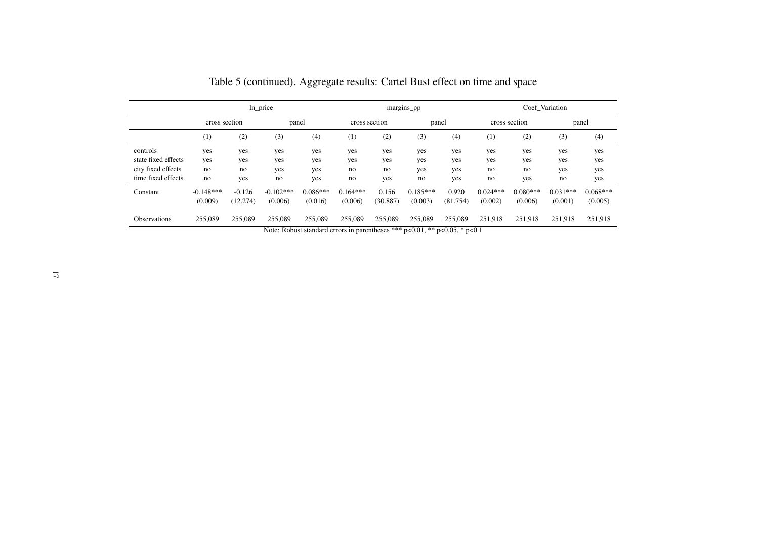|                     |                  |          | ln_price    |            |               | margins_pp   |              | Coef Variation |            |               |            |            |
|---------------------|------------------|----------|-------------|------------|---------------|--------------|--------------|----------------|------------|---------------|------------|------------|
|                     | cross section    |          | panel       |            | cross section |              | panel        |                |            | cross section |            | panel      |
|                     | $\left(1\right)$ | (2)      | (3)         | (4)        | (1)           | (2)          | (3)          | (4)            | (1)        | (2)           | (3)        | (4)        |
| controls            | yes              | yes      | yes         | yes        | yes           | yes          | yes          | yes            | yes        | yes           | yes        | yes        |
| state fixed effects | yes              | yes      | yes         | yes        | yes           | yes          | yes          | yes            | yes        | yes           | yes        | yes        |
| city fixed effects  | no               | no       | yes         | yes        | no            | no           | yes          | yes            | no         | no            | yes        | yes        |
| time fixed effects  | no               | yes      | no          | yes        | no            | yes          | no           | yes            | no         | yes           | no         | yes        |
| Constant            | $-0.148***$      | $-0.126$ | $-0.102***$ | $0.086***$ | $0.164***$    | 0.156        | $0.185***$   | 0.920          | $0.024***$ | $0.080***$    | $0.031***$ | $0.068***$ |
|                     | (0.009)          | (12.274) | (0.006)     | (0.016)    | (0.006)       | (30.887)     | (0.003)      | (81.754)       | (0.002)    | (0.006)       | (0.001)    | (0.005)    |
| <b>Observations</b> | 255,089          | 255,089  | 255,089     | 255,089    | 255,089       | 255,089<br>. | 255,089<br>. | 255,089<br>.   | 251,918    | 251,918       | 251,918    | 251,918    |

Note: Robust standard errors in parentheses \*\*\* p<0.01, \*\* p<0.05, \* p<0.1